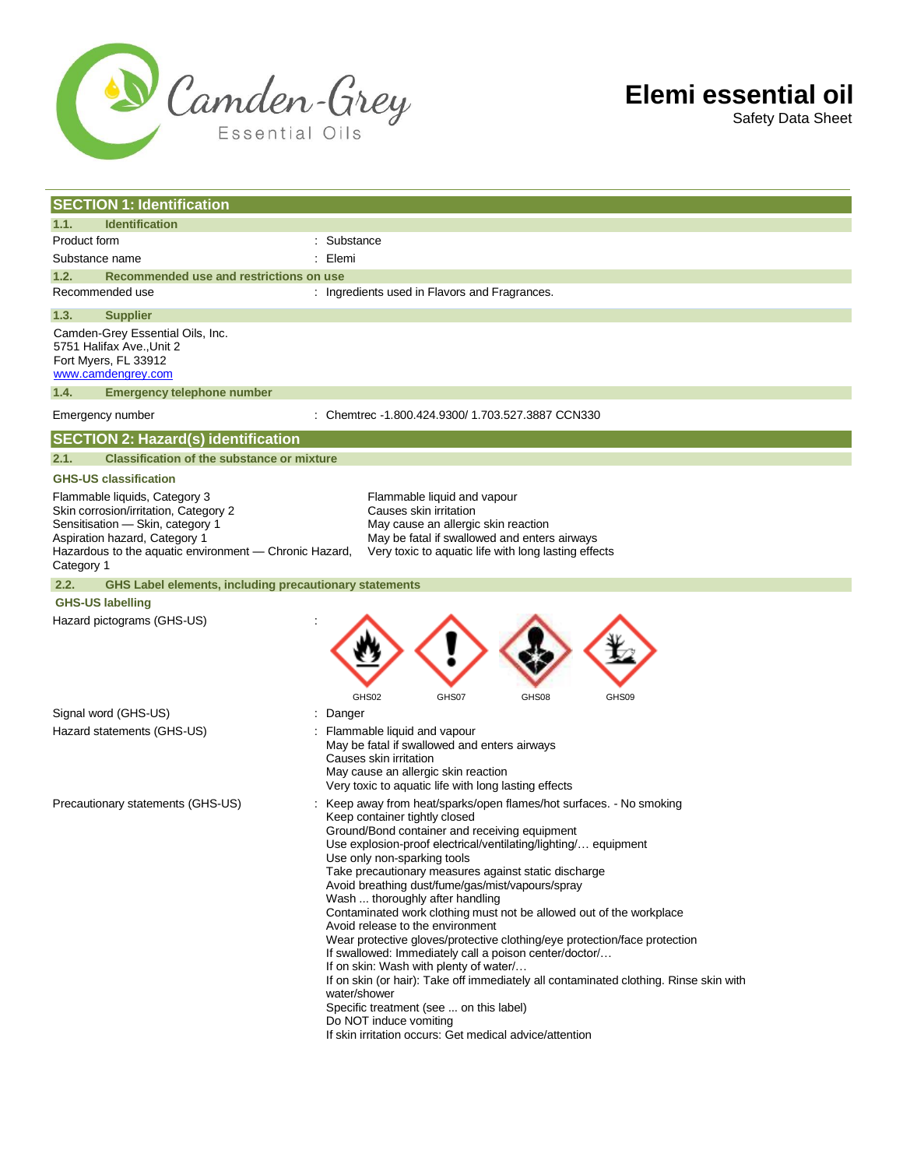

Safety Data Sheet

| <b>SECTION 1: Identification</b>                                                                                                                                                                                    |                                                                                                                                                                                                                                                                                                                                                                                                                                                                                                                                                                                                                                                                                                                                                                                                                                                                                                                                            |
|---------------------------------------------------------------------------------------------------------------------------------------------------------------------------------------------------------------------|--------------------------------------------------------------------------------------------------------------------------------------------------------------------------------------------------------------------------------------------------------------------------------------------------------------------------------------------------------------------------------------------------------------------------------------------------------------------------------------------------------------------------------------------------------------------------------------------------------------------------------------------------------------------------------------------------------------------------------------------------------------------------------------------------------------------------------------------------------------------------------------------------------------------------------------------|
| 1.1.<br><b>Identification</b>                                                                                                                                                                                       |                                                                                                                                                                                                                                                                                                                                                                                                                                                                                                                                                                                                                                                                                                                                                                                                                                                                                                                                            |
| Product form                                                                                                                                                                                                        | : Substance                                                                                                                                                                                                                                                                                                                                                                                                                                                                                                                                                                                                                                                                                                                                                                                                                                                                                                                                |
| Substance name                                                                                                                                                                                                      | : Elemi                                                                                                                                                                                                                                                                                                                                                                                                                                                                                                                                                                                                                                                                                                                                                                                                                                                                                                                                    |
| 1.2.<br>Recommended use and restrictions on use                                                                                                                                                                     |                                                                                                                                                                                                                                                                                                                                                                                                                                                                                                                                                                                                                                                                                                                                                                                                                                                                                                                                            |
| Recommended use                                                                                                                                                                                                     | : Ingredients used in Flavors and Fragrances.                                                                                                                                                                                                                                                                                                                                                                                                                                                                                                                                                                                                                                                                                                                                                                                                                                                                                              |
| 1.3.<br><b>Supplier</b>                                                                                                                                                                                             |                                                                                                                                                                                                                                                                                                                                                                                                                                                                                                                                                                                                                                                                                                                                                                                                                                                                                                                                            |
| Camden-Grey Essential Oils, Inc.<br>5751 Halifax Ave., Unit 2<br>Fort Myers, FL 33912<br>www.camdengrey.com                                                                                                         |                                                                                                                                                                                                                                                                                                                                                                                                                                                                                                                                                                                                                                                                                                                                                                                                                                                                                                                                            |
| 1.4.<br><b>Emergency telephone number</b>                                                                                                                                                                           |                                                                                                                                                                                                                                                                                                                                                                                                                                                                                                                                                                                                                                                                                                                                                                                                                                                                                                                                            |
| Emergency number                                                                                                                                                                                                    | : Chemtrec -1.800.424.9300/ 1.703.527.3887 CCN330                                                                                                                                                                                                                                                                                                                                                                                                                                                                                                                                                                                                                                                                                                                                                                                                                                                                                          |
| <b>SECTION 2: Hazard(s) identification</b>                                                                                                                                                                          |                                                                                                                                                                                                                                                                                                                                                                                                                                                                                                                                                                                                                                                                                                                                                                                                                                                                                                                                            |
| <b>Classification of the substance or mixture</b><br>2.1.                                                                                                                                                           |                                                                                                                                                                                                                                                                                                                                                                                                                                                                                                                                                                                                                                                                                                                                                                                                                                                                                                                                            |
| <b>GHS-US classification</b>                                                                                                                                                                                        |                                                                                                                                                                                                                                                                                                                                                                                                                                                                                                                                                                                                                                                                                                                                                                                                                                                                                                                                            |
| Flammable liquids, Category 3<br>Skin corrosion/irritation, Category 2<br>Sensitisation - Skin, category 1<br>Aspiration hazard, Category 1<br>Hazardous to the aquatic environment - Chronic Hazard,<br>Category 1 | Flammable liquid and vapour<br>Causes skin irritation<br>May cause an allergic skin reaction<br>May be fatal if swallowed and enters airways<br>Very toxic to aquatic life with long lasting effects                                                                                                                                                                                                                                                                                                                                                                                                                                                                                                                                                                                                                                                                                                                                       |
| 2.2.<br><b>GHS Label elements, including precautionary statements</b>                                                                                                                                               |                                                                                                                                                                                                                                                                                                                                                                                                                                                                                                                                                                                                                                                                                                                                                                                                                                                                                                                                            |
| <b>GHS-US labelling</b>                                                                                                                                                                                             |                                                                                                                                                                                                                                                                                                                                                                                                                                                                                                                                                                                                                                                                                                                                                                                                                                                                                                                                            |
| Hazard pictograms (GHS-US)                                                                                                                                                                                          | GHS02<br>GHS07<br>GHS08<br>GHS09                                                                                                                                                                                                                                                                                                                                                                                                                                                                                                                                                                                                                                                                                                                                                                                                                                                                                                           |
| Signal word (GHS-US)                                                                                                                                                                                                | Danger                                                                                                                                                                                                                                                                                                                                                                                                                                                                                                                                                                                                                                                                                                                                                                                                                                                                                                                                     |
| Hazard statements (GHS-US)                                                                                                                                                                                          | Flammable liquid and vapour<br>May be fatal if swallowed and enters airways<br>Causes skin irritation<br>May cause an allergic skin reaction<br>Very toxic to aquatic life with long lasting effects                                                                                                                                                                                                                                                                                                                                                                                                                                                                                                                                                                                                                                                                                                                                       |
| Precautionary statements (GHS-US)                                                                                                                                                                                   | : Keep away from heat/sparks/open flames/hot surfaces. - No smoking<br>Keep container tightly closed<br>Ground/Bond container and receiving equipment<br>Use explosion-proof electrical/ventilating/lighting/ equipment<br>Use only non-sparking tools<br>Take precautionary measures against static discharge<br>Avoid breathing dust/fume/gas/mist/vapours/spray<br>Wash  thoroughly after handling<br>Contaminated work clothing must not be allowed out of the workplace<br>Avoid release to the environment<br>Wear protective gloves/protective clothing/eye protection/face protection<br>If swallowed: Immediately call a poison center/doctor/<br>If on skin: Wash with plenty of water/<br>If on skin (or hair): Take off immediately all contaminated clothing. Rinse skin with<br>water/shower<br>Specific treatment (see  on this label)<br>Do NOT induce vomiting<br>If skin irritation occurs: Get medical advice/attention |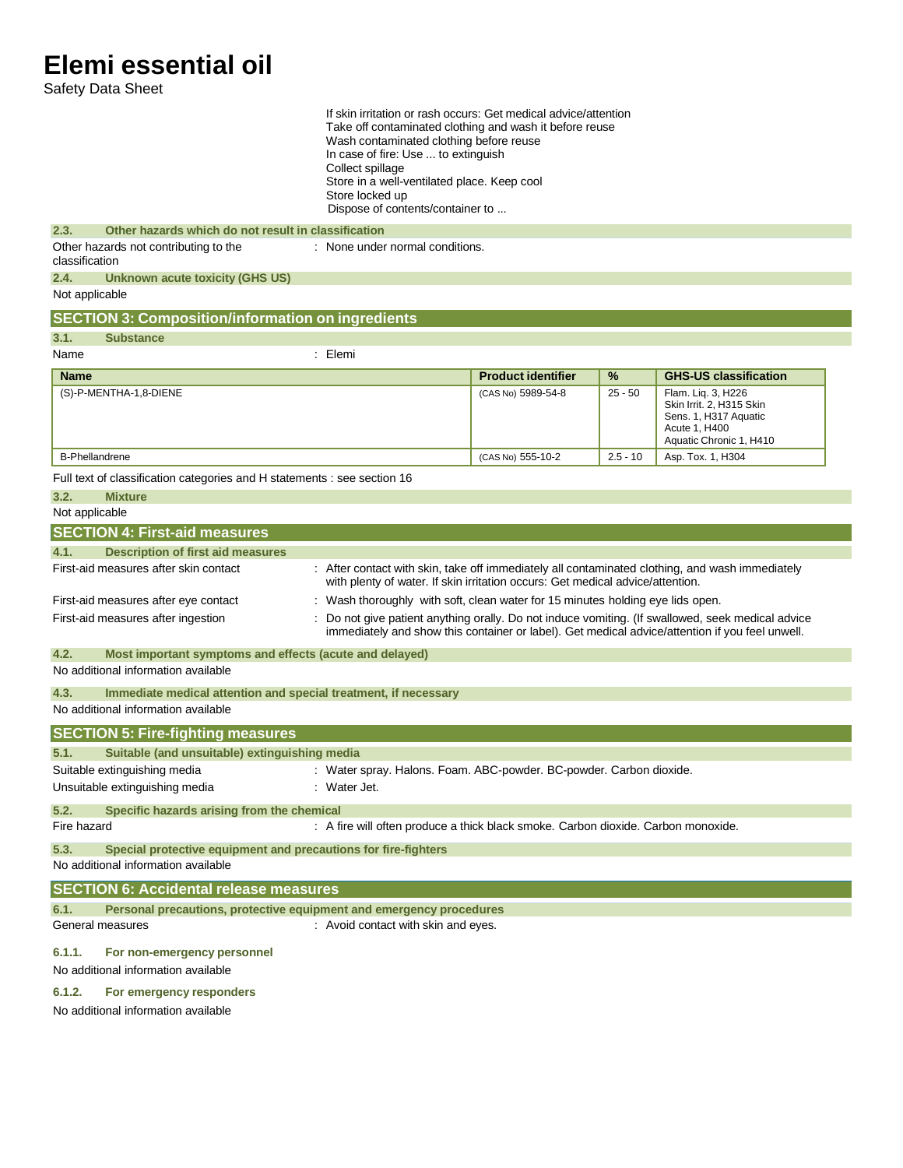Safety Data Sheet

| If skin irritation or rash occurs: Get medical advice/attention<br>Take off contaminated clothing and wash it before reuse<br>Wash contaminated clothing before reuse<br>In case of fire: Use  to extinguish<br>Collect spillage<br>Store in a well-ventilated place. Keep cool<br>Store locked up<br>Dispose of contents/container to |                                                                                                                                                                                   |                           |            |                                                                                                                                                                                                      |
|----------------------------------------------------------------------------------------------------------------------------------------------------------------------------------------------------------------------------------------------------------------------------------------------------------------------------------------|-----------------------------------------------------------------------------------------------------------------------------------------------------------------------------------|---------------------------|------------|------------------------------------------------------------------------------------------------------------------------------------------------------------------------------------------------------|
| Other hazards which do not result in classification<br>2.3.                                                                                                                                                                                                                                                                            |                                                                                                                                                                                   |                           |            |                                                                                                                                                                                                      |
| Other hazards not contributing to the<br>classification                                                                                                                                                                                                                                                                                | : None under normal conditions.                                                                                                                                                   |                           |            |                                                                                                                                                                                                      |
| 2.4.<br><b>Unknown acute toxicity (GHS US)</b>                                                                                                                                                                                                                                                                                         |                                                                                                                                                                                   |                           |            |                                                                                                                                                                                                      |
| Not applicable                                                                                                                                                                                                                                                                                                                         |                                                                                                                                                                                   |                           |            |                                                                                                                                                                                                      |
| <b>SECTION 3: Composition/information on ingredients</b>                                                                                                                                                                                                                                                                               |                                                                                                                                                                                   |                           |            |                                                                                                                                                                                                      |
| 3.1.<br><b>Substance</b>                                                                                                                                                                                                                                                                                                               |                                                                                                                                                                                   |                           |            |                                                                                                                                                                                                      |
| Name                                                                                                                                                                                                                                                                                                                                   | : Elemi                                                                                                                                                                           |                           |            |                                                                                                                                                                                                      |
| <b>Name</b>                                                                                                                                                                                                                                                                                                                            |                                                                                                                                                                                   | <b>Product identifier</b> | %          | <b>GHS-US classification</b>                                                                                                                                                                         |
| (S)-P-MENTHA-1,8-DIENE                                                                                                                                                                                                                                                                                                                 |                                                                                                                                                                                   | (CAS No) 5989-54-8        | $25 - 50$  | Flam. Liq. 3, H226<br>Skin Irrit. 2, H315 Skin<br>Sens. 1, H317 Aquatic<br>Acute 1, H400<br>Aquatic Chronic 1, H410                                                                                  |
| <b>B-Phellandrene</b>                                                                                                                                                                                                                                                                                                                  |                                                                                                                                                                                   | (CAS No) 555-10-2         | $2.5 - 10$ | Asp. Tox. 1, H304                                                                                                                                                                                    |
| Full text of classification categories and H statements : see section 16                                                                                                                                                                                                                                                               |                                                                                                                                                                                   |                           |            |                                                                                                                                                                                                      |
| 3.2.<br><b>Mixture</b>                                                                                                                                                                                                                                                                                                                 |                                                                                                                                                                                   |                           |            |                                                                                                                                                                                                      |
| Not applicable                                                                                                                                                                                                                                                                                                                         |                                                                                                                                                                                   |                           |            |                                                                                                                                                                                                      |
| <b>SECTION 4: First-aid measures</b>                                                                                                                                                                                                                                                                                                   |                                                                                                                                                                                   |                           |            |                                                                                                                                                                                                      |
| 4.1.<br><b>Description of first aid measures</b>                                                                                                                                                                                                                                                                                       |                                                                                                                                                                                   |                           |            |                                                                                                                                                                                                      |
| First-aid measures after skin contact                                                                                                                                                                                                                                                                                                  | : After contact with skin, take off immediately all contaminated clothing, and wash immediately<br>with plenty of water. If skin irritation occurs: Get medical advice/attention. |                           |            |                                                                                                                                                                                                      |
| First-aid measures after eye contact                                                                                                                                                                                                                                                                                                   | : Wash thoroughly with soft, clean water for 15 minutes holding eye lids open.                                                                                                    |                           |            |                                                                                                                                                                                                      |
| First-aid measures after ingestion                                                                                                                                                                                                                                                                                                     |                                                                                                                                                                                   |                           |            | : Do not give patient anything orally. Do not induce vomiting. (If swallowed, seek medical advice<br>immediately and show this container or label). Get medical advice/attention if you feel unwell. |
| 4.2.<br>Most important symptoms and effects (acute and delayed)                                                                                                                                                                                                                                                                        |                                                                                                                                                                                   |                           |            |                                                                                                                                                                                                      |
| No additional information available                                                                                                                                                                                                                                                                                                    |                                                                                                                                                                                   |                           |            |                                                                                                                                                                                                      |
| Immediate medical attention and special treatment, if necessary<br>4.3.                                                                                                                                                                                                                                                                |                                                                                                                                                                                   |                           |            |                                                                                                                                                                                                      |
| No additional information available                                                                                                                                                                                                                                                                                                    |                                                                                                                                                                                   |                           |            |                                                                                                                                                                                                      |
| <b>SECTION 5: Fire-fighting measures</b>                                                                                                                                                                                                                                                                                               |                                                                                                                                                                                   |                           |            |                                                                                                                                                                                                      |
| 5.1.<br>Suitable (and unsuitable) extinguishing media                                                                                                                                                                                                                                                                                  |                                                                                                                                                                                   |                           |            |                                                                                                                                                                                                      |
| Suitable extinguishing media<br>: Water spray. Halons. Foam. ABC-powder. BC-powder. Carbon dioxide.                                                                                                                                                                                                                                    |                                                                                                                                                                                   |                           |            |                                                                                                                                                                                                      |
| Unsuitable extinguishing media<br>: Water Jet.                                                                                                                                                                                                                                                                                         |                                                                                                                                                                                   |                           |            |                                                                                                                                                                                                      |
|                                                                                                                                                                                                                                                                                                                                        |                                                                                                                                                                                   |                           |            |                                                                                                                                                                                                      |
| 5.2.<br>Specific hazards arising from the chemical<br>Fire hazard                                                                                                                                                                                                                                                                      | : A fire will often produce a thick black smoke. Carbon dioxide. Carbon monoxide.                                                                                                 |                           |            |                                                                                                                                                                                                      |
|                                                                                                                                                                                                                                                                                                                                        |                                                                                                                                                                                   |                           |            |                                                                                                                                                                                                      |
| 5.3.<br>Special protective equipment and precautions for fire-fighters<br>No additional information available                                                                                                                                                                                                                          |                                                                                                                                                                                   |                           |            |                                                                                                                                                                                                      |
| <b>SECTION 6: Accidental release measures</b>                                                                                                                                                                                                                                                                                          |                                                                                                                                                                                   |                           |            |                                                                                                                                                                                                      |
| Personal precautions, protective equipment and emergency procedures<br>6.1.                                                                                                                                                                                                                                                            |                                                                                                                                                                                   |                           |            |                                                                                                                                                                                                      |
| General measures                                                                                                                                                                                                                                                                                                                       | : Avoid contact with skin and eyes.                                                                                                                                               |                           |            |                                                                                                                                                                                                      |
| 6.1.1.<br>For non-emergency personnel<br>No additional information available                                                                                                                                                                                                                                                           |                                                                                                                                                                                   |                           |            |                                                                                                                                                                                                      |

### **6.1.2. For emergency responders**

No additional information available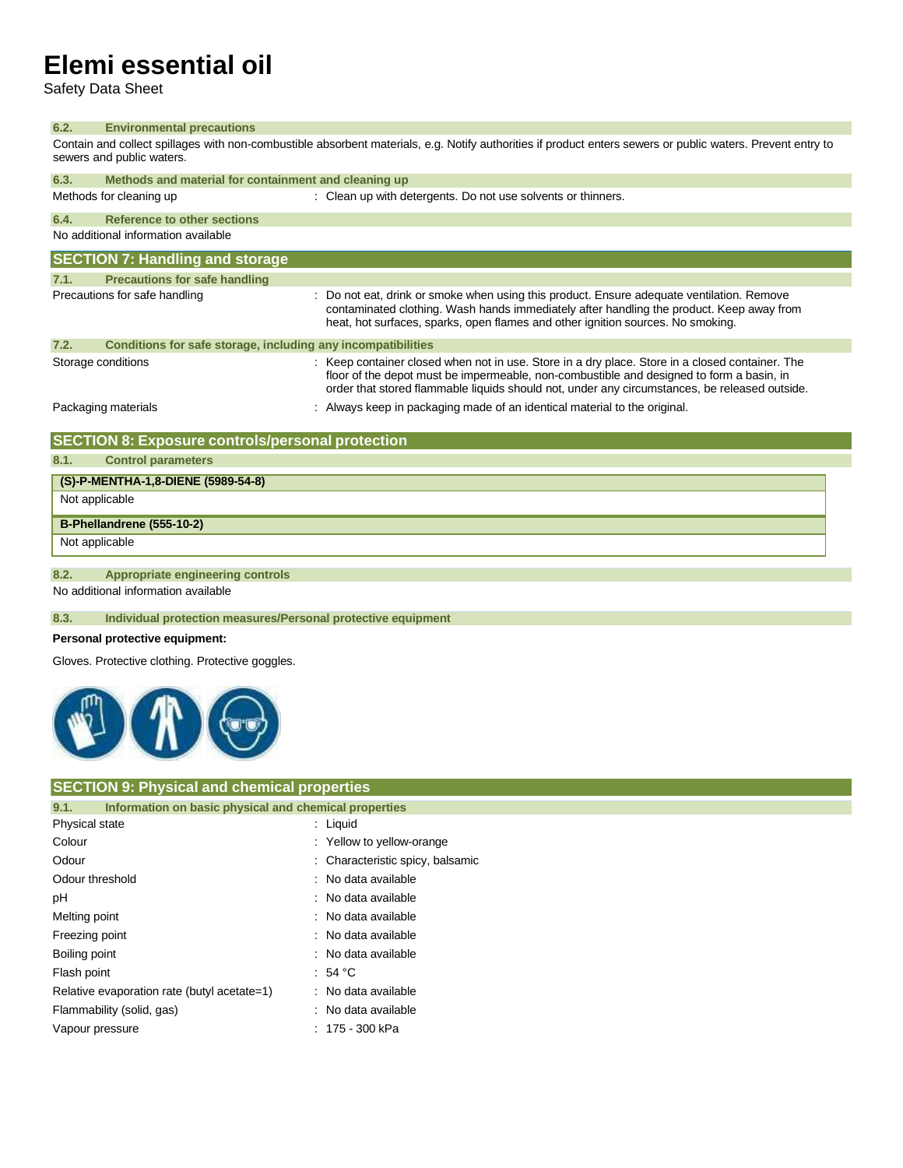Safety Data Sheet

#### **6.2. Environmental precautions**

Contain and collect spillages with non-combustible absorbent materials, e.g. Notify authorities if product enters sewers or public waters. Prevent entry to sewers and public waters.

| 6.3.               | Methods and material for containment and cleaning up         |                                                                                                                                                                                                                                                                                              |  |
|--------------------|--------------------------------------------------------------|----------------------------------------------------------------------------------------------------------------------------------------------------------------------------------------------------------------------------------------------------------------------------------------------|--|
|                    | Methods for cleaning up                                      | : Clean up with detergents. Do not use solvents or thinners.                                                                                                                                                                                                                                 |  |
| 6.4.               | <b>Reference to other sections</b>                           |                                                                                                                                                                                                                                                                                              |  |
|                    | No additional information available                          |                                                                                                                                                                                                                                                                                              |  |
|                    | <b>SECTION 7: Handling and storage</b>                       |                                                                                                                                                                                                                                                                                              |  |
| 7.1.               | <b>Precautions for safe handling</b>                         |                                                                                                                                                                                                                                                                                              |  |
|                    | Precautions for safe handling                                | : Do not eat, drink or smoke when using this product. Ensure adequate ventilation. Remove<br>contaminated clothing. Wash hands immediately after handling the product. Keep away from<br>heat, hot surfaces, sparks, open flames and other ignition sources. No smoking.                     |  |
| 7.2.               | Conditions for safe storage, including any incompatibilities |                                                                                                                                                                                                                                                                                              |  |
| Storage conditions |                                                              | : Keep container closed when not in use. Store in a dry place. Store in a closed container. The<br>floor of the depot must be impermeable, non-combustible and designed to form a basin, in<br>order that stored flammable liquids should not, under any circumstances, be released outside. |  |
|                    | Packaging materials                                          | Always keep in packaging made of an identical material to the original.                                                                                                                                                                                                                      |  |

### **SECTION 8: Exposure controls/personal protection**

**8.1. Control parameters**

## **(S)-P-MENTHA-1,8-DIENE (5989-54-8)** Not applicable **B-Phellandrene (555-10-2)**

Not applicable

#### **8.2. Appropriate engineering controls**

No additional information available

### **8.3. Individual protection measures/Personal protective equipment**

#### **Personal protective equipment:**

Gloves. Protective clothing. Protective goggles.



#### **SECTION 9: Physical and chemical properties**

| 9.1.                      | Information on basic physical and chemical properties |                                  |
|---------------------------|-------------------------------------------------------|----------------------------------|
| Physical state            |                                                       | $:$ Liquid                       |
| Colour                    |                                                       | : Yellow to yellow-orange        |
| Odour                     |                                                       | : Characteristic spicy, balsamic |
| Odour threshold           |                                                       | : No data available              |
| рH                        |                                                       | : No data available              |
| Melting point             |                                                       | : No data available              |
| Freezing point            |                                                       | : No data available              |
| Boiling point             |                                                       | : No data available              |
| Flash point               |                                                       | : 54 °C                          |
|                           | Relative evaporation rate (butyl acetate=1)           | : No data available              |
| Flammability (solid, gas) |                                                       | : No data available              |
| Vapour pressure           |                                                       | : 175 - 300 kPa                  |
|                           |                                                       |                                  |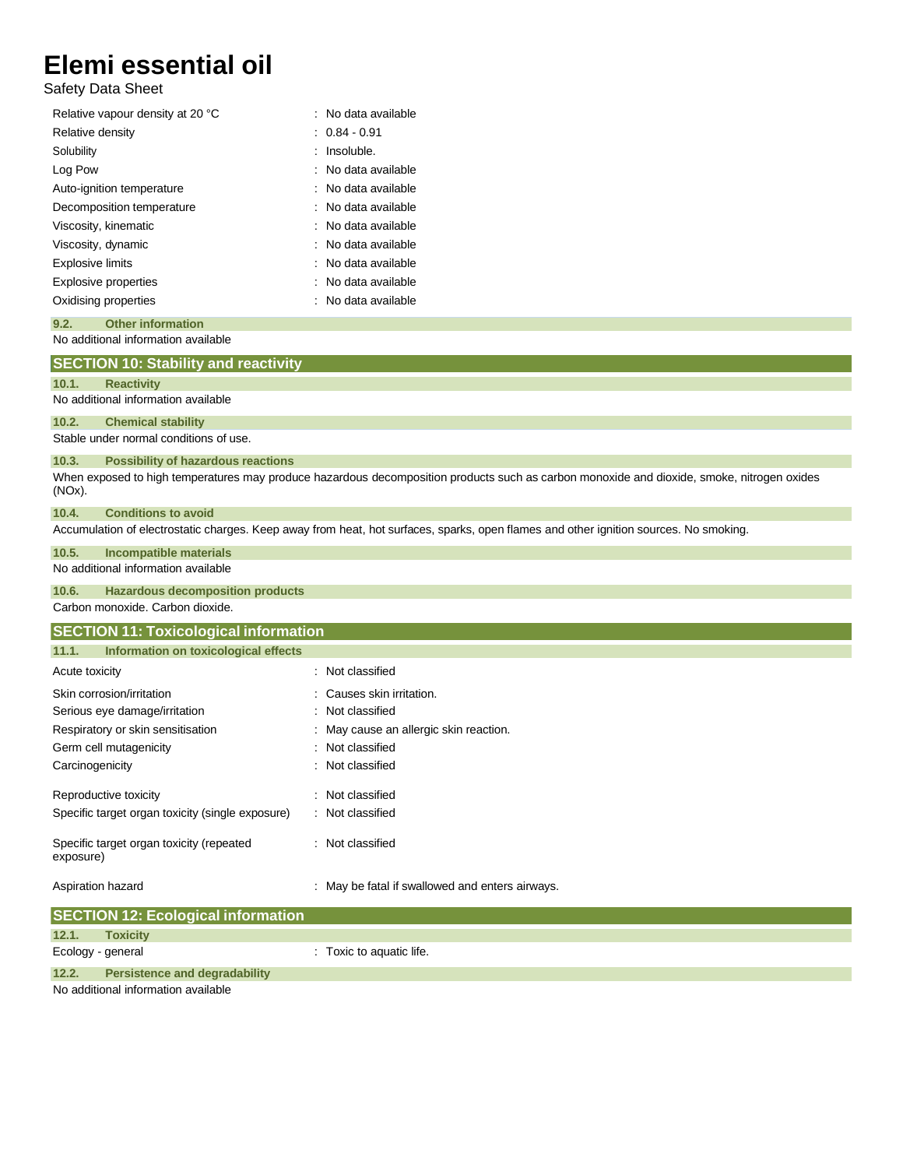Safety Data Sheet

| Relative vapour density at 20 °C | : No data available |
|----------------------------------|---------------------|
| Relative density                 | $: 0.84 \cdot 0.91$ |
| Solubility                       | Insoluble.          |
| Log Pow                          | No data available   |
| Auto-ignition temperature        | : No data available |
| Decomposition temperature        | : No data available |
| Viscosity, kinematic             | : No data available |
| Viscosity, dynamic               | No data available   |
| <b>Explosive limits</b>          | No data available   |
| <b>Explosive properties</b>      | No data available   |
| Oxidising properties             | : No data available |
|                                  |                     |

#### No additional information available **9.2. Other information**

No additional information available Stable under normal conditions of use. When exposed to high temperatures may produce hazardous decomposition products such as carbon monoxide and dioxide, smoke, nitrogen oxides (NOx). Accumulation of electrostatic charges. Keep away from heat, hot surfaces, sparks, open flames and other ignition sources. No smoking. No additional information available Carbon monoxide. Carbon dioxide. Acute toxicity in the classified in the classified in the classified in the classified in the classified in the classified in the classified in the classified in the classified in the classified in the classified in the cl Skin corrosion/irritation **intervalse and the Causes skin irritation**. Serious eye damage/irritation : Not classified Respiratory or skin sensitisation : May cause an allergic skin reaction. Germ cell mutagenicity **in the case of the Contract Contract Contract Contract Contract Contract Contract Contract Contract Contract Contract Contract Contract Contract Contract Contract Contract Contract Contract Contract** Carcinogenicity **Carcinogenicity** : Not classified Reproductive toxicity **in the contract of the CRS** contract in the Reproductive toxicity Specific target organ toxicity (single exposure) : Not classified Specific target organ toxicity (repeated exposure) : Not classified Aspiration hazard **in the state of the state of the state of the state of the state of the state of the state of the state of the state of the state of the state of the state of the state of the state of the state of the s 12.1. Toxicity SECTION 12: Ecological information 11.1. Information on toxicological effects SECTION 11: Toxicological information 10.6. Hazardous decomposition products 10.5. Incompatible materials 10.4. Conditions to avoid 10.3. Possibility of hazardous reactions 10.2. Chemical stability 10.1. Reactivity SECTION 10: Stability and reactivity**

Ecology - general interval in the cology - general intervals of the cology - Toxic to aquatic life. **12.2. Persistence and degradability**

No additional information available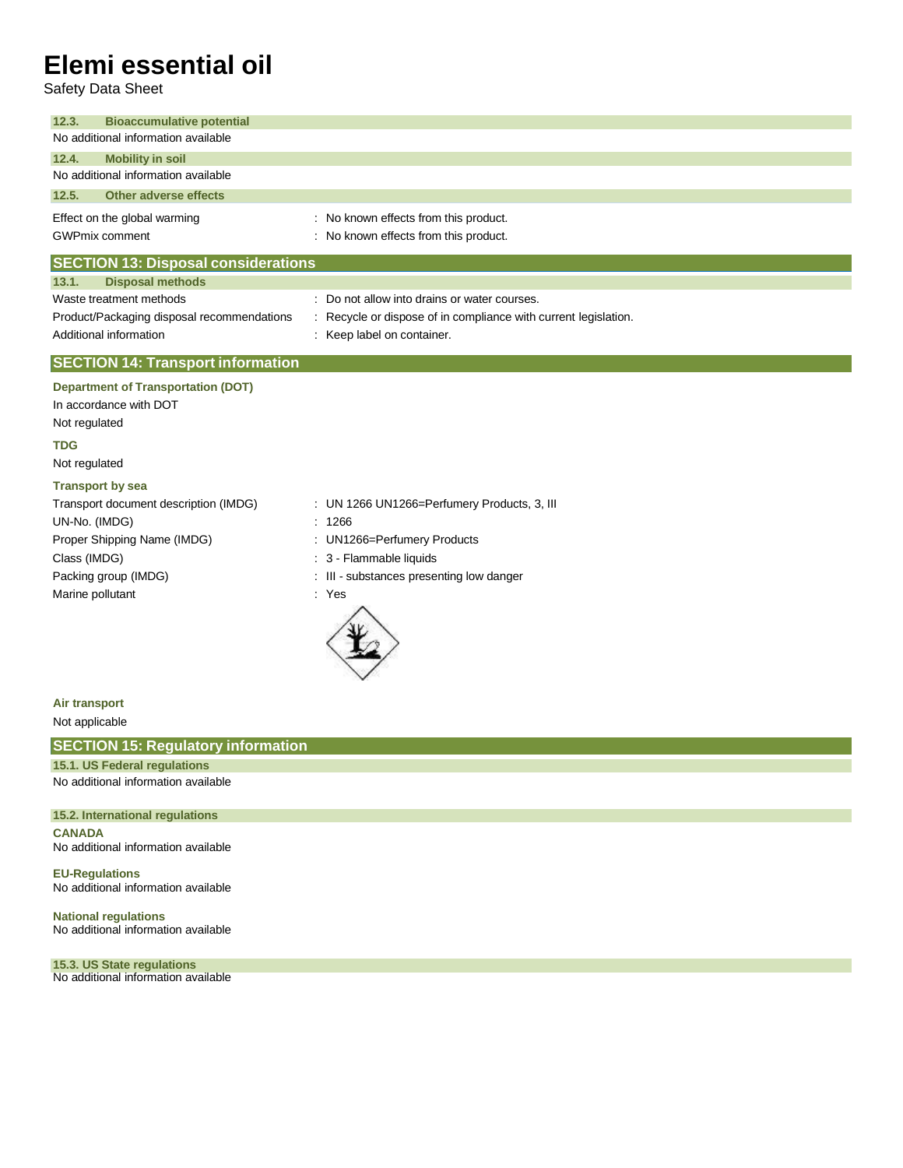Safety Data Sheet

| <b>Bioaccumulative potential</b><br>12.3.  |                                                               |  |  |
|--------------------------------------------|---------------------------------------------------------------|--|--|
| No additional information available        |                                                               |  |  |
| <b>Mobility in soil</b><br>12.4.           |                                                               |  |  |
| No additional information available        |                                                               |  |  |
| 12.5.<br>Other adverse effects             |                                                               |  |  |
| Effect on the global warming               | : No known effects from this product.                         |  |  |
| <b>GWPmix comment</b>                      | : No known effects from this product.                         |  |  |
| <b>SECTION 13: Disposal considerations</b> |                                                               |  |  |
| <b>Disposal methods</b><br>13.1.           |                                                               |  |  |
| Waste treatment methods                    | : Do not allow into drains or water courses.                  |  |  |
| Product/Packaging disposal recommendations | Recycle or dispose of in compliance with current legislation. |  |  |
| Additional information                     | : Keep label on container.                                    |  |  |
| <b>SECTION 14: Transport information</b>   |                                                               |  |  |
| <b>Department of Transportation (DOT)</b>  |                                                               |  |  |
| In accordance with DOT                     |                                                               |  |  |
| Not regulated                              |                                                               |  |  |
| <b>TDG</b>                                 |                                                               |  |  |
| Not regulated                              |                                                               |  |  |
| <b>Transport by sea</b>                    |                                                               |  |  |
| Transport document description (IMDG)      | : UN 1266 UN1266=Perfumery Products, 3, III                   |  |  |
| UN-No. (IMDG)                              | : 1266                                                        |  |  |
| Proper Shipping Name (IMDG)                | : UN1266=Perfumery Products                                   |  |  |
| Class (IMDG)                               | 3 - Flammable liquids                                         |  |  |
| Packing group (IMDG)                       | : III - substances presenting low danger                      |  |  |
| Marine pollutant                           | : Yes                                                         |  |  |
|                                            |                                                               |  |  |

**Air transport**

Not applicable

### **SECTION 15: Regulatory information**

No additional information available **15.1. US Federal regulations**

**15.2. International regulations**

**CANADA** No additional information available

**EU-Regulations** No additional information available

**National regulations** No additional information available

No additional information available **15.3. US State regulations**